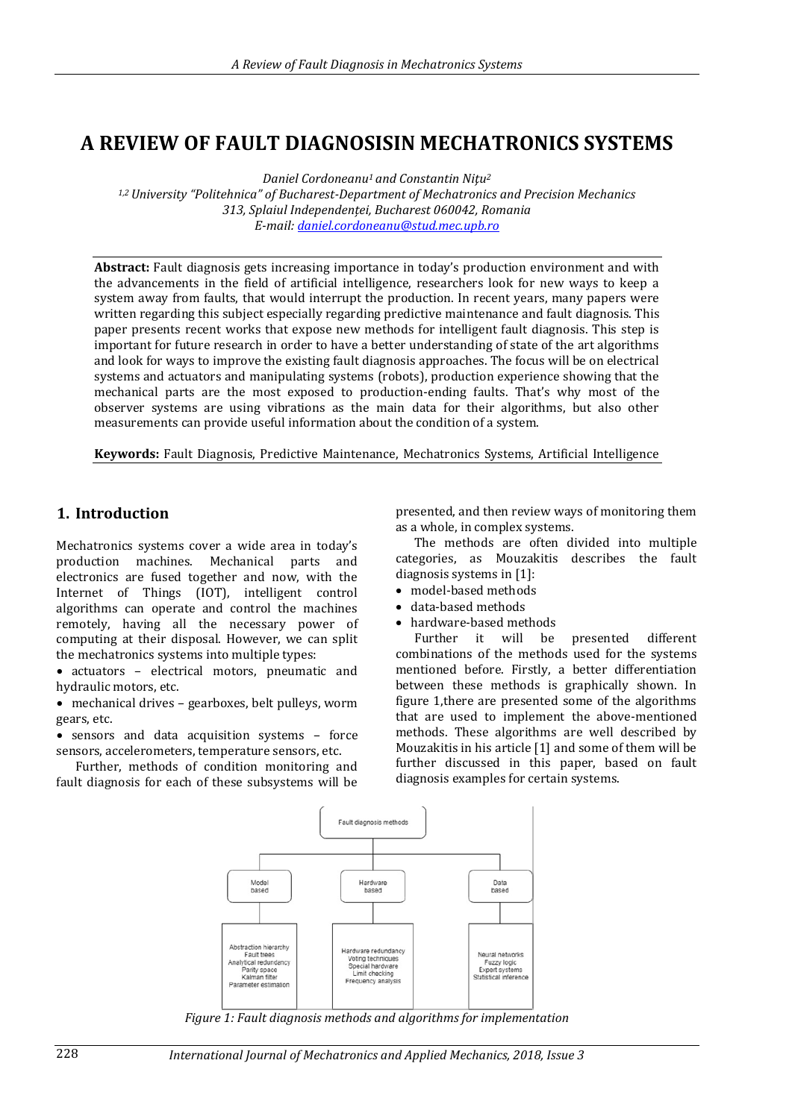# **A REVIEW OF FAULT DIAGNOSISIN MECHATRONICS SYSTEMS**

*Daniel Cordoneanu<sup>1</sup> and Constantin Niţu<sup>2</sup>*

*1,2 University "Politehnica" of Bucharest-Department of Mechatronics and Precision Mechanics 313, Splaiul Independenței, Bucharest 060042, Romania E-mail[: daniel.cordoneanu@stud.mec.upb.ro](mailto:daniel.cordoneanu@stud.mec.upb.ro)*

**Abstract:** Fault diagnosis gets increasing importance in today's production environment and with the advancements in the field of artificial intelligence, researchers look for new ways to keep a system away from faults, that would interrupt the production. In recent years, many papers were written regarding this subject especially regarding predictive maintenance and fault diagnosis. This paper presents recent works that expose new methods for intelligent fault diagnosis. This step is important for future research in order to have a better understanding of state of the art algorithms and look for ways to improve the existing fault diagnosis approaches. The focus will be on electrical systems and actuators and manipulating systems (robots), production experience showing that the mechanical parts are the most exposed to production-ending faults. That's why most of the observer systems are using vibrations as the main data for their algorithms, but also other measurements can provide useful information about the condition of a system.

**Keywords:** Fault Diagnosis, Predictive Maintenance, Mechatronics Systems, Artificial Intelligence

# **1. Introduction**

Mechatronics systems cover a wide area in today's production machines. Mechanical parts and electronics are fused together and now, with the Internet of Things (IOT), intelligent control algorithms can operate and control the machines remotely, having all the necessary power of computing at their disposal. However, we can split the mechatronics systems into multiple types:

 actuators – electrical motors, pneumatic and hydraulic motors, etc.

 mechanical drives – gearboxes, belt pulleys, worm gears, etc.

 sensors and data acquisition systems – force sensors, accelerometers, temperature sensors, etc.

Further, methods of condition monitoring and fault diagnosis for each of these subsystems will be

presented, and then review ways of monitoring them as a whole, in complex systems.

The methods are often divided into multiple categories, as Mouzakitis describes the fault diagnosis systems in [1]:

- model-based methods
- data-based methods
- hardware-based methods

Further it will be presented different combinations of the methods used for the systems mentioned before. Firstly, a better differentiation between these methods is graphically shown. In figure 1,there are presented some of the algorithms that are used to implement the above-mentioned methods. These algorithms are well described by Mouzakitis in his article [1] and some of them will be further discussed in this paper, based on fault diagnosis examples for certain systems.



*Figure 1: Fault diagnosis methods and algorithms for implementation*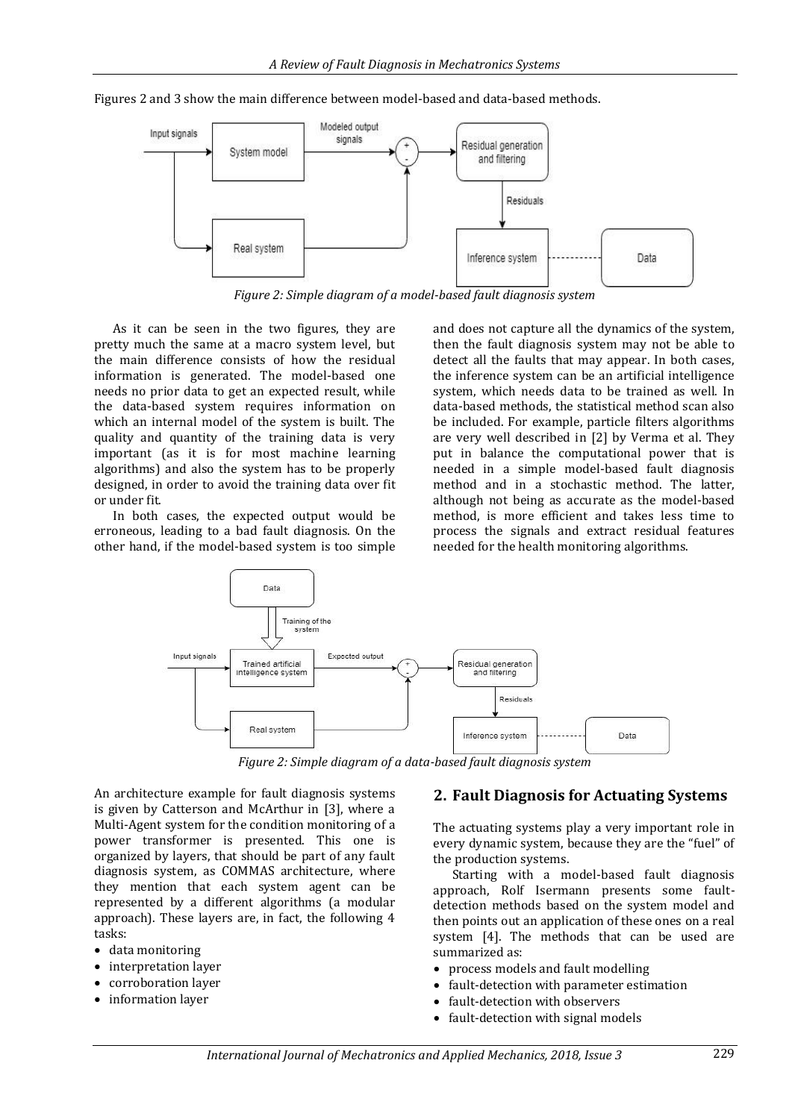

Figures 2 and 3 show the main difference between model-based and data-based methods.

*Figure 2: Simple diagram of a model-based fault diagnosis system*

As it can be seen in the two figures, they are pretty much the same at a macro system level, but the main difference consists of how the residual information is generated. The model-based one needs no prior data to get an expected result, while the data-based system requires information on which an internal model of the system is built. The quality and quantity of the training data is very important (as it is for most machine learning algorithms) and also the system has to be properly designed, in order to avoid the training data over fit or under fit.

In both cases, the expected output would be erroneous, leading to a bad fault diagnosis. On the other hand, if the model-based system is too simple and does not capture all the dynamics of the system, then the fault diagnosis system may not be able to detect all the faults that may appear. In both cases, the inference system can be an artificial intelligence system, which needs data to be trained as well. In data-based methods, the statistical method scan also be included. For example, particle filters algorithms are very well described in [2] by Verma et al. They put in balance the computational power that is needed in a simple model-based fault diagnosis method and in a stochastic method. The latter, although not being as accurate as the model-based method, is more efficient and takes less time to process the signals and extract residual features needed for the health monitoring algorithms.



*Figure 2: Simple diagram of a data-based fault diagnosis system*

An architecture example for fault diagnosis systems is given by Catterson and McArthur in [3], where a Multi-Agent system for the condition monitoring of a power transformer is presented. This one is organized by layers, that should be part of any fault diagnosis system, as COMMAS architecture, where they mention that each system agent can be represented by a different algorithms (a modular approach). These layers are, in fact, the following 4 tasks:

- data monitoring
- interpretation layer
- corroboration layer
- information layer

#### **2. Fault Diagnosis for Actuating Systems**

The actuating systems play a very important role in every dynamic system, because they are the "fuel" of the production systems.

Starting with a model-based fault diagnosis approach, Rolf Isermann presents some faultdetection methods based on the system model and then points out an application of these ones on a real system [4]. The methods that can be used are summarized as:

- process models and fault modelling
- fault-detection with parameter estimation
- fault-detection with observers
- fault-detection with signal models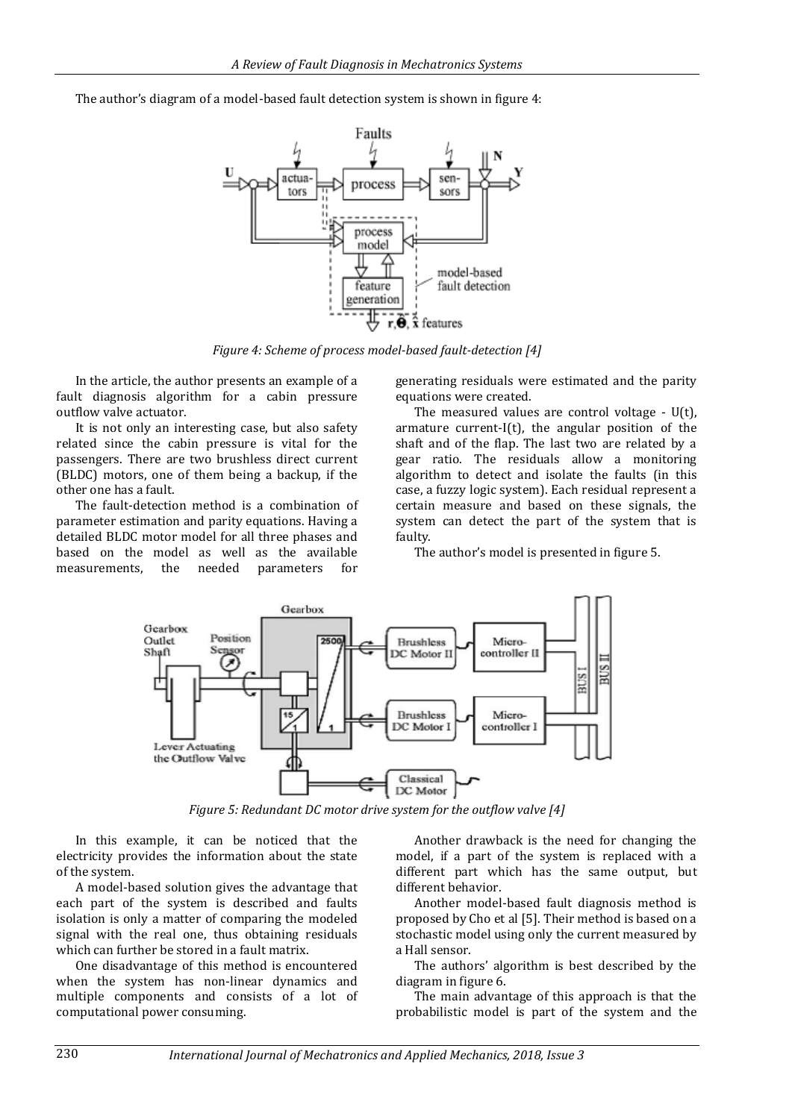The author's diagram of a model-based fault detection system is shown in figure 4:



*Figure 4: Scheme of process model-based fault-detection [4]*

In the article, the author presents an example of a fault diagnosis algorithm for a cabin pressure outflow valve actuator.

It is not only an interesting case, but also safety related since the cabin pressure is vital for the passengers. There are two brushless direct current (BLDC) motors, one of them being a backup, if the other one has a fault.

The fault-detection method is a combination of parameter estimation and parity equations. Having a detailed BLDC motor model for all three phases and based on the model as well as the available measurements, the needed parameters for

generating residuals were estimated and the parity equations were created.

The measured values are control voltage -  $U(t)$ , armature current-I(t), the angular position of the shaft and of the flap. The last two are related by a gear ratio. The residuals allow a monitoring algorithm to detect and isolate the faults (in this case, a fuzzy logic system). Each residual represent a certain measure and based on these signals, the system can detect the part of the system that is faulty.

The author's model is presented in figure 5.



*Figure 5: Redundant DC motor drive system for the outflow valve [4]*

In this example, it can be noticed that the electricity provides the information about the state of the system.

A model-based solution gives the advantage that each part of the system is described and faults isolation is only a matter of comparing the modeled signal with the real one, thus obtaining residuals which can further be stored in a fault matrix.

One disadvantage of this method is encountered when the system has non-linear dynamics and multiple components and consists of a lot of computational power consuming.

Another drawback is the need for changing the model, if a part of the system is replaced with a different part which has the same output, but different behavior.

Another model-based fault diagnosis method is proposed by Cho et al [5]. Their method is based on a stochastic model using only the current measured by a Hall sensor.

The authors' algorithm is best described by the diagram in figure 6.

The main advantage of this approach is that the probabilistic model is part of the system and the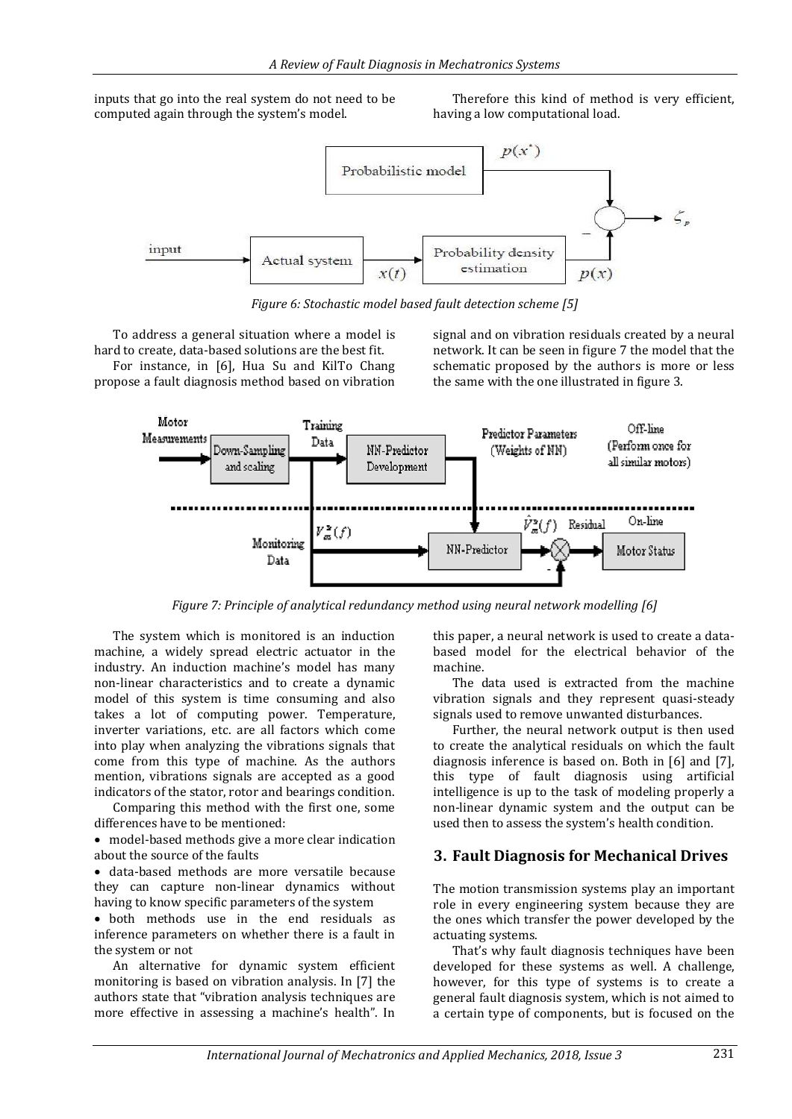inputs that go into the real system do not need to be computed again through the system's model.

Therefore this kind of method is very efficient, having a low computational load.



*Figure 6: Stochastic model based fault detection scheme [5]*

To address a general situation where a model is hard to create, data-based solutions are the best fit.

For instance, in [6], Hua Su and KilTo Chang propose a fault diagnosis method based on vibration

signal and on vibration residuals created by a neural network. It can be seen in figure 7 the model that the schematic proposed by the authors is more or less the same with the one illustrated in figure 3.



*Figure 7: Principle of analytical redundancy method using neural network modelling [6]*

The system which is monitored is an induction machine, a widely spread electric actuator in the industry. An induction machine's model has many non-linear characteristics and to create a dynamic model of this system is time consuming and also takes a lot of computing power. Temperature, inverter variations, etc. are all factors which come into play when analyzing the vibrations signals that come from this type of machine. As the authors mention, vibrations signals are accepted as a good indicators of the stator, rotor and bearings condition.

Comparing this method with the first one, some differences have to be mentioned:

 model-based methods give a more clear indication about the source of the faults

 data-based methods are more versatile because they can capture non-linear dynamics without having to know specific parameters of the system

 both methods use in the end residuals as inference parameters on whether there is a fault in the system or not

An alternative for dynamic system efficient monitoring is based on vibration analysis. In [7] the authors state that "vibration analysis techniques are more effective in assessing a machine's health". In

this paper, a neural network is used to create a databased model for the electrical behavior of the machine.

The data used is extracted from the machine vibration signals and they represent quasi-steady signals used to remove unwanted disturbances.

Further, the neural network output is then used to create the analytical residuals on which the fault diagnosis inference is based on. Both in [6] and [7], this type of fault diagnosis using artificial intelligence is up to the task of modeling properly a non-linear dynamic system and the output can be used then to assess the system's health condition.

#### **3. Fault Diagnosis for Mechanical Drives**

The motion transmission systems play an important role in every engineering system because they are the ones which transfer the power developed by the actuating systems.

That's why fault diagnosis techniques have been developed for these systems as well. A challenge, however, for this type of systems is to create a general fault diagnosis system, which is not aimed to a certain type of components, but is focused on the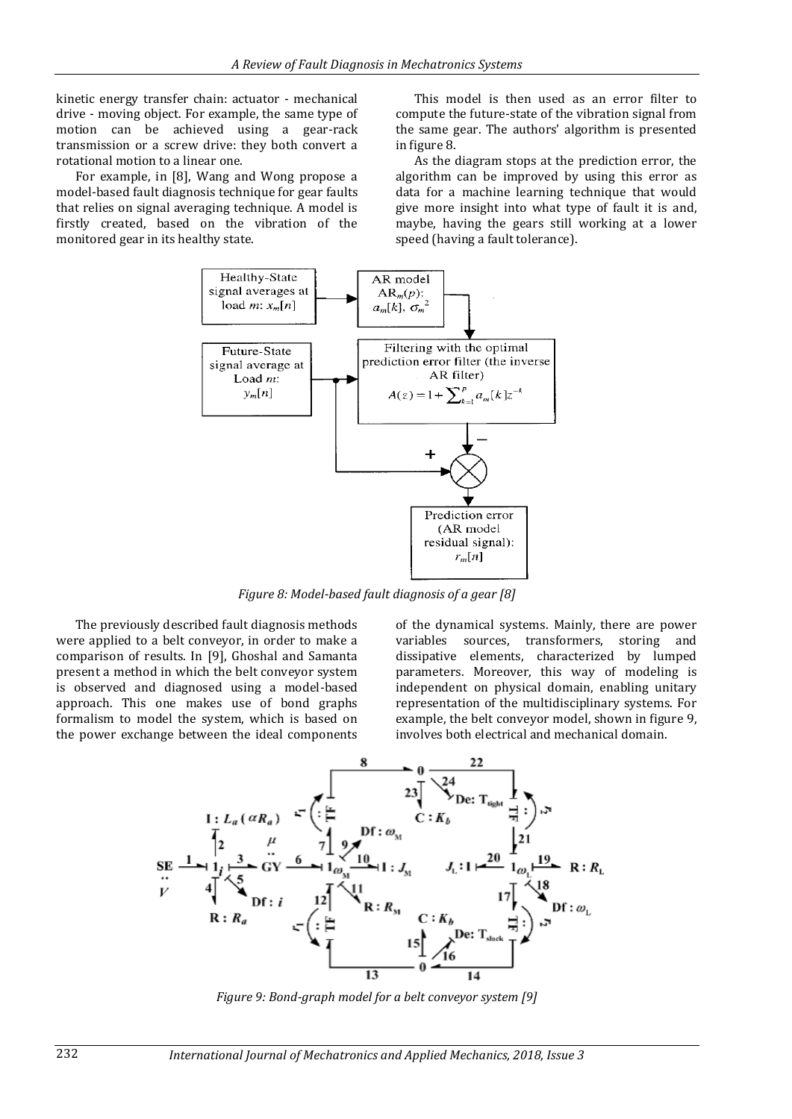kinetic energy transfer chain: actuator - mechanical drive - moving object. For example, the same type of motion can be achieved using a gear-rack transmission or a screw drive: they both convert a rotational motion to a linear one.

For example, in [8], Wang and Wong propose a model-based fault diagnosis technique for gear faults that relies on signal averaging technique. A model is firstly created, based on the vibration of the monitored gear in its healthy state.

This model is then used as an error filter to compute the future-state of the vibration signal from the same gear. The authors' algorithm is presented in figure 8.

As the diagram stops at the prediction error, the algorithm can be improved by using this error as data for a machine learning technique that would give more insight into what type of fault it is and, maybe, having the gears still working at a lower speed (having a fault tolerance).



*Figure 8: Model-based fault diagnosis of a gear [8]*

The previously described fault diagnosis methods were applied to a belt conveyor, in order to make a comparison of results. In [9], Ghoshal and Samanta present a method in which the belt conveyor system is observed and diagnosed using a model-based approach. This one makes use of bond graphs formalism to model the system, which is based on the power exchange between the ideal components

of the dynamical systems. Mainly, there are power variables sources, transformers, storing and dissipative elements, characterized by lumped parameters. Moreover, this way of modeling is independent on physical domain, enabling unitary representation of the multidisciplinary systems. For example, the belt conveyor model, shown in figure 9, involves both electrical and mechanical domain.



*Figure 9: Bond-graph model for a belt conveyor system [9]*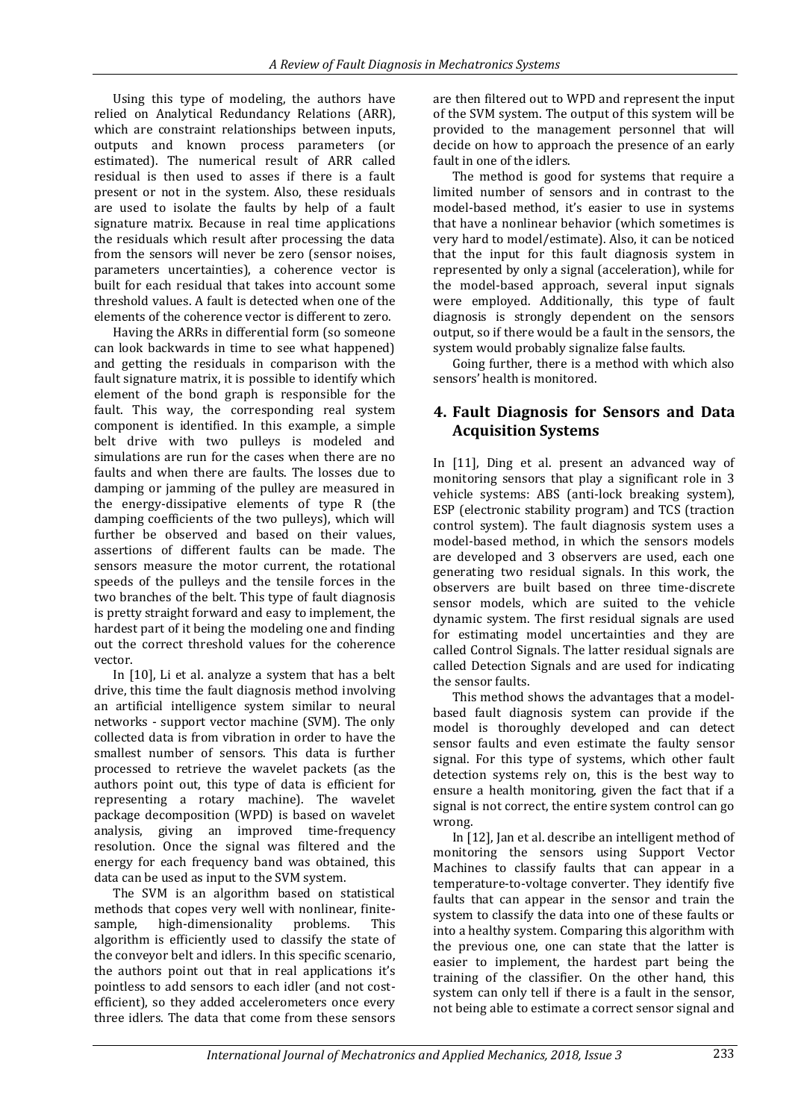Using this type of modeling, the authors have relied on Analytical Redundancy Relations (ARR), which are constraint relationships between inputs, outputs and known process parameters (or estimated). The numerical result of ARR called residual is then used to asses if there is a fault present or not in the system. Also, these residuals are used to isolate the faults by help of a fault signature matrix. Because in real time applications the residuals which result after processing the data from the sensors will never be zero (sensor noises, parameters uncertainties), a coherence vector is built for each residual that takes into account some threshold values. A fault is detected when one of the elements of the coherence vector is different to zero.

Having the ARRs in differential form (so someone can look backwards in time to see what happened) and getting the residuals in comparison with the fault signature matrix, it is possible to identify which element of the bond graph is responsible for the fault. This way, the corresponding real system component is identified. In this example, a simple belt drive with two pulleys is modeled and simulations are run for the cases when there are no faults and when there are faults. The losses due to damping or jamming of the pulley are measured in the energy-dissipative elements of type R (the damping coefficients of the two pulleys), which will further be observed and based on their values, assertions of different faults can be made. The sensors measure the motor current, the rotational speeds of the pulleys and the tensile forces in the two branches of the belt. This type of fault diagnosis is pretty straight forward and easy to implement, the hardest part of it being the modeling one and finding out the correct threshold values for the coherence vector.

In [10], Li et al. analyze a system that has a belt drive, this time the fault diagnosis method involving an artificial intelligence system similar to neural networks - support vector machine (SVM). The only collected data is from vibration in order to have the smallest number of sensors. This data is further processed to retrieve the wavelet packets (as the authors point out, this type of data is efficient for representing a rotary machine). The wavelet package decomposition (WPD) is based on wavelet analysis, giving an improved time-frequency resolution. Once the signal was filtered and the energy for each frequency band was obtained, this data can be used as input to the SVM system.

The SVM is an algorithm based on statistical methods that copes very well with nonlinear, finitesample, high-dimensionality problems. This algorithm is efficiently used to classify the state of the conveyor belt and idlers. In this specific scenario, the authors point out that in real applications it's pointless to add sensors to each idler (and not costefficient), so they added accelerometers once every three idlers. The data that come from these sensors

are then filtered out to WPD and represent the input of the SVM system. The output of this system will be provided to the management personnel that will decide on how to approach the presence of an early fault in one of the idlers.

The method is good for systems that require a limited number of sensors and in contrast to the model-based method, it's easier to use in systems that have a nonlinear behavior (which sometimes is very hard to model/estimate). Also, it can be noticed that the input for this fault diagnosis system in represented by only a signal (acceleration), while for the model-based approach, several input signals were employed. Additionally, this type of fault diagnosis is strongly dependent on the sensors output, so if there would be a fault in the sensors, the system would probably signalize false faults.

Going further, there is a method with which also sensors' health is monitored.

## **4. Fault Diagnosis for Sensors and Data Acquisition Systems**

In [11], Ding et al. present an advanced way of monitoring sensors that play a significant role in 3 vehicle systems: ABS (anti-lock breaking system), ESP (electronic stability program) and TCS (traction control system). The fault diagnosis system uses a model-based method, in which the sensors models are developed and 3 observers are used, each one generating two residual signals. In this work, the observers are built based on three time-discrete sensor models, which are suited to the vehicle dynamic system. The first residual signals are used for estimating model uncertainties and they are called Control Signals. The latter residual signals are called Detection Signals and are used for indicating the sensor faults.

This method shows the advantages that a modelbased fault diagnosis system can provide if the model is thoroughly developed and can detect sensor faults and even estimate the faulty sensor signal. For this type of systems, which other fault detection systems rely on, this is the best way to ensure a health monitoring, given the fact that if a signal is not correct, the entire system control can go wrong.

In [12], Jan et al. describe an intelligent method of monitoring the sensors using Support Vector Machines to classify faults that can appear in a temperature-to-voltage converter. They identify five faults that can appear in the sensor and train the system to classify the data into one of these faults or into a healthy system. Comparing this algorithm with the previous one, one can state that the latter is easier to implement, the hardest part being the training of the classifier. On the other hand, this system can only tell if there is a fault in the sensor, not being able to estimate a correct sensor signal and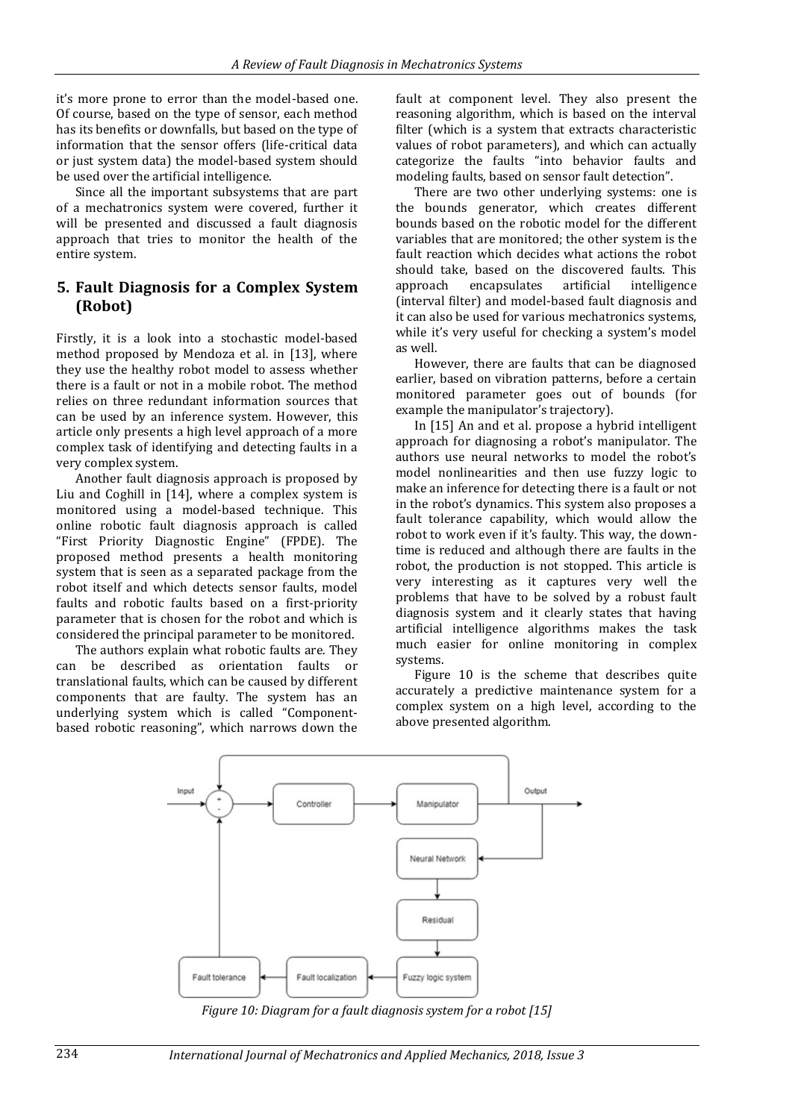it's more prone to error than the model-based one. Of course, based on the type of sensor, each method has its benefits or downfalls, but based on the type of information that the sensor offers (life-critical data or just system data) the model-based system should be used over the artificial intelligence.

Since all the important subsystems that are part of a mechatronics system were covered, further it will be presented and discussed a fault diagnosis approach that tries to monitor the health of the entire system.

#### **5. Fault Diagnosis for a Complex System (Robot)**

Firstly, it is a look into a stochastic model-based method proposed by Mendoza et al. in [13], where they use the healthy robot model to assess whether there is a fault or not in a mobile robot. The method relies on three redundant information sources that can be used by an inference system. However, this article only presents a high level approach of a more complex task of identifying and detecting faults in a very complex system.

Another fault diagnosis approach is proposed by Liu and Coghill in [14], where a complex system is monitored using a model-based technique. This online robotic fault diagnosis approach is called "First Priority Diagnostic Engine" (FPDE). The proposed method presents a health monitoring system that is seen as a separated package from the robot itself and which detects sensor faults, model faults and robotic faults based on a first-priority parameter that is chosen for the robot and which is considered the principal parameter to be monitored.

The authors explain what robotic faults are. They can be described as orientation faults or translational faults, which can be caused by different components that are faulty. The system has an underlying system which is called "Componentbased robotic reasoning", which narrows down the fault at component level. They also present the reasoning algorithm, which is based on the interval filter (which is a system that extracts characteristic values of robot parameters), and which can actually categorize the faults "into behavior faults and modeling faults, based on sensor fault detection".

There are two other underlying systems: one is the bounds generator, which creates different bounds based on the robotic model for the different variables that are monitored; the other system is the fault reaction which decides what actions the robot should take, based on the discovered faults. This approach encapsulates artificial intelligence (interval filter) and model-based fault diagnosis and it can also be used for various mechatronics systems, while it's very useful for checking a system's model as well.

However, there are faults that can be diagnosed earlier, based on vibration patterns, before a certain monitored parameter goes out of bounds (for example the manipulator's trajectory).

In [15] An and et al. propose a hybrid intelligent approach for diagnosing a robot's manipulator. The authors use neural networks to model the robot's model nonlinearities and then use fuzzy logic to make an inference for detecting there is a fault or not in the robot's dynamics. This system also proposes a fault tolerance capability, which would allow the robot to work even if it's faulty. This way, the downtime is reduced and although there are faults in the robot, the production is not stopped. This article is very interesting as it captures very well the problems that have to be solved by a robust fault diagnosis system and it clearly states that having artificial intelligence algorithms makes the task much easier for online monitoring in complex systems.

Figure 10 is the scheme that describes quite accurately a predictive maintenance system for a complex system on a high level, according to the above presented algorithm.



*Figure 10: Diagram for a fault diagnosis system for a robot [15]*